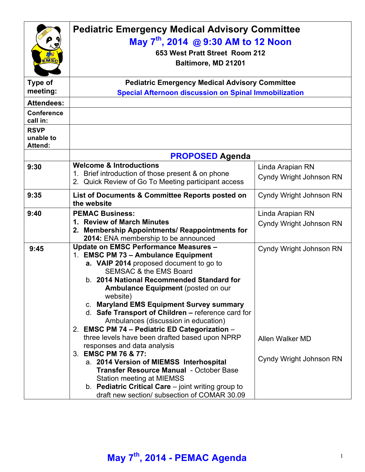| EMSC                                       | <b>Pediatric Emergency Medical Advisory Committee</b><br>May 7 <sup>th</sup> , 2014 @ 9:30 AM to 12 Noon<br>653 West Pratt Street Room 212<br>Baltimore, MD 21201                                                                                                                                                                                                                                                                                                                                                                                                                                                                                                                                                                                                                                      |                                                                       |  |
|--------------------------------------------|--------------------------------------------------------------------------------------------------------------------------------------------------------------------------------------------------------------------------------------------------------------------------------------------------------------------------------------------------------------------------------------------------------------------------------------------------------------------------------------------------------------------------------------------------------------------------------------------------------------------------------------------------------------------------------------------------------------------------------------------------------------------------------------------------------|-----------------------------------------------------------------------|--|
| Type of                                    | <b>Pediatric Emergency Medical Advisory Committee</b>                                                                                                                                                                                                                                                                                                                                                                                                                                                                                                                                                                                                                                                                                                                                                  |                                                                       |  |
| meeting:                                   | <b>Special Afternoon discussion on Spinal Immobilization</b>                                                                                                                                                                                                                                                                                                                                                                                                                                                                                                                                                                                                                                                                                                                                           |                                                                       |  |
| <b>Attendees:</b>                          |                                                                                                                                                                                                                                                                                                                                                                                                                                                                                                                                                                                                                                                                                                                                                                                                        |                                                                       |  |
| <b>Conference</b><br>call in:              |                                                                                                                                                                                                                                                                                                                                                                                                                                                                                                                                                                                                                                                                                                                                                                                                        |                                                                       |  |
| <b>RSVP</b><br>unable to<br><b>Attend:</b> |                                                                                                                                                                                                                                                                                                                                                                                                                                                                                                                                                                                                                                                                                                                                                                                                        |                                                                       |  |
|                                            | <b>PROPOSED Agenda</b>                                                                                                                                                                                                                                                                                                                                                                                                                                                                                                                                                                                                                                                                                                                                                                                 |                                                                       |  |
| 9:30                                       | <b>Welcome &amp; Introductions</b><br>1. Brief introduction of those present & on phone<br>2. Quick Review of Go To Meeting participant access                                                                                                                                                                                                                                                                                                                                                                                                                                                                                                                                                                                                                                                         | Linda Arapian RN<br><b>Cyndy Wright Johnson RN</b>                    |  |
| 9:35                                       | List of Documents & Committee Reports posted on<br>the website                                                                                                                                                                                                                                                                                                                                                                                                                                                                                                                                                                                                                                                                                                                                         | Cyndy Wright Johnson RN                                               |  |
| 9:40                                       | <b>PEMAC Business:</b><br>1. Review of March Minutes<br>2. Membership Appointments/ Reappointments for<br>2014: ENA membership to be announced                                                                                                                                                                                                                                                                                                                                                                                                                                                                                                                                                                                                                                                         | Linda Arapian RN<br>Cyndy Wright Johnson RN                           |  |
| 9:45                                       | Update on EMSC Performance Measures -<br>1. EMSC PM 73 - Ambulance Equipment<br>a. VAIP 2014 proposed document to go to<br><b>SEMSAC &amp; the EMS Board</b><br>b. 2014 National Recommended Standard for<br>Ambulance Equipment (posted on our<br>website)<br>c. Maryland EMS Equipment Survey summary<br>d. Safe Transport of Children - reference card for<br>Ambulances (discussion in education)<br>2. EMSC PM 74 - Pediatric ED Categorization -<br>three levels have been drafted based upon NPRP<br>responses and data analysis<br>3. EMSC PM 76 & 77:<br>a. 2014 Version of MIEMSS Interhospital<br><b>Transfer Resource Manual - October Base</b><br><b>Station meeting at MIEMSS</b><br>b. Pediatric Critical Care – joint writing group to<br>draft new section/ subsection of COMAR 30.09 | Cyndy Wright Johnson RN<br>Allen Walker MD<br>Cyndy Wright Johnson RN |  |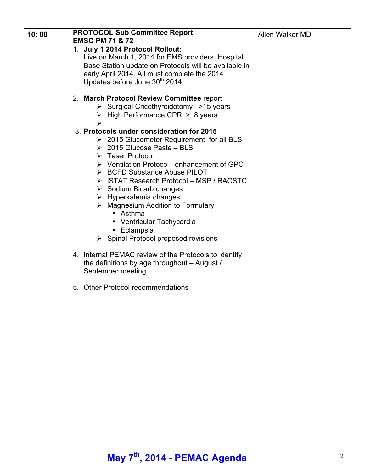| 10:00 | <b>PROTOCOL Sub Committee Report</b><br><b>EMSC PM 71 &amp; 72</b><br>1. July 1 2014 Protocol Rollout:<br>Live on March 1, 2014 for EMS providers. Hospital<br>Base Station update on Protocols will be available in<br>early April 2014. All must complete the 2014<br>Updates before June 30 <sup>th</sup> 2014.                                                                                                                                                                                                                                               | Allen Walker MD |
|-------|------------------------------------------------------------------------------------------------------------------------------------------------------------------------------------------------------------------------------------------------------------------------------------------------------------------------------------------------------------------------------------------------------------------------------------------------------------------------------------------------------------------------------------------------------------------|-----------------|
|       | 2. March Protocol Review Committee report<br>$\triangleright$ Surgical Cricothyroidotomy >15 years<br>$\triangleright$ High Performance CPR > 8 years                                                                                                                                                                                                                                                                                                                                                                                                            |                 |
|       | 3. Protocols under consideration for 2015<br>$\geq 2015$ Glucometer Requirement for all BLS<br>$\geq 2015$ Glucose Paste – BLS<br>$\triangleright$ Taser Protocol<br>$\triangleright$ Ventilation Protocol –enhancement of GPC<br>> BCFD Substance Abuse PILOT<br>> iSTAT Research Protocol - MSP / RACSTC<br>$\triangleright$ Sodium Bicarb changes<br>$\triangleright$ Hyperkalemia changes<br>$\triangleright$ Magnesium Addition to Formulary<br>■ Asthma<br>• Ventricular Tachycardia<br>■ Eclampsia<br>$\triangleright$ Spinal Protocol proposed revisions |                 |
|       | 4. Internal PEMAC review of the Protocols to identify<br>the definitions by age throughout - August /<br>September meeting.                                                                                                                                                                                                                                                                                                                                                                                                                                      |                 |
|       | 5. Other Protocol recommendations                                                                                                                                                                                                                                                                                                                                                                                                                                                                                                                                |                 |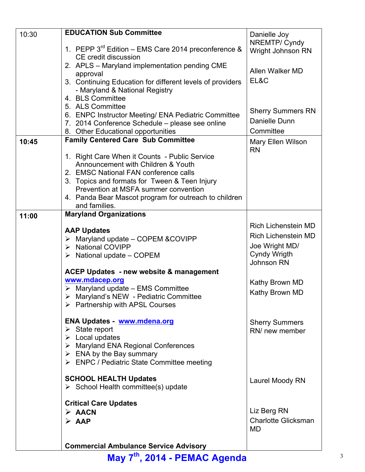|       | <b>EDUCATION Sub Committee</b>                            |                            |
|-------|-----------------------------------------------------------|----------------------------|
| 10:30 |                                                           | Danielle Joy               |
|       | 1. PEPP $3^{rd}$ Edition – EMS Care 2014 preconference &  | NREMTP/ Cyndy              |
|       | CE credit discussion                                      | Wright Johnson RN          |
|       | 2. APLS - Maryland implementation pending CME             |                            |
|       | approval                                                  | Allen Walker MD            |
|       |                                                           | EL&C                       |
|       | 3. Continuing Education for different levels of providers |                            |
|       | - Maryland & National Registry                            |                            |
|       | 4. BLS Committee                                          |                            |
|       | 5. ALS Committee                                          | <b>Sherry Summers RN</b>   |
|       | 6. ENPC Instructor Meeting/ ENA Pediatric Committee       | Danielle Dunn              |
|       | 7. 2014 Conference Schedule - please see online           |                            |
|       | 8. Other Educational opportunities                        | Committee                  |
| 10:45 | <b>Family Centered Care Sub Committee</b>                 | Mary Ellen Wilson          |
|       |                                                           | <b>RN</b>                  |
|       | 1. Right Care When it Counts - Public Service             |                            |
|       | Announcement with Children & Youth                        |                            |
|       | 2. EMSC National FAN conference calls                     |                            |
|       | 3. Topics and formats for Tween & Teen Injury             |                            |
|       | Prevention at MSFA summer convention                      |                            |
|       | 4. Panda Bear Mascot program for outreach to children     |                            |
|       | and families.                                             |                            |
| 11:00 | <b>Maryland Organizations</b>                             |                            |
|       |                                                           | <b>Rich Lichenstein MD</b> |
|       | <b>AAP Updates</b>                                        |                            |
|       | $\triangleright$ Maryland update – COPEM & COVIPP         | Rich Lichenstein MD        |
|       | > National COVIPP                                         | Joe Wright MD/             |
|       | $\triangleright$ National update – COPEM                  | <b>Cyndy Wrigth</b>        |
|       |                                                           | <b>Johnson RN</b>          |
|       | <b>ACEP Updates - new website &amp; management</b>        |                            |
|       | www.mdacep.org                                            | Kathy Brown MD             |
|       | $\triangleright$ Maryland update – EMS Committee          |                            |
|       | $\triangleright$ Maryland's NEW - Pediatric Committee     | Kathy Brown MD             |
|       | $\triangleright$ Partnership with APSL Courses            |                            |
|       |                                                           |                            |
|       | <b>ENA Updates - www.mdena.org</b>                        | <b>Sherry Summers</b>      |
|       | $\triangleright$ State report                             | RN/ new member             |
|       | $\triangleright$ Local updates                            |                            |
|       | > Maryland ENA Regional Conferences                       |                            |
|       | $\triangleright$ ENA by the Bay summary                   |                            |
|       | > ENPC / Pediatric State Committee meeting                |                            |
|       |                                                           |                            |
|       | <b>SCHOOL HEALTH Updates</b>                              | Laurel Moody RN            |
|       | $\triangleright$ School Health committee(s) update        |                            |
|       |                                                           |                            |
|       | <b>Critical Care Updates</b>                              |                            |
|       | $\triangleright$ AACN                                     | Liz Berg RN                |
|       | $\triangleright$ AAP                                      | <b>Charlotte Glicksman</b> |
|       |                                                           | <b>MD</b>                  |
|       |                                                           |                            |
|       | <b>Commercial Ambulance Service Advisory</b>              |                            |

**May 7th, 2014 - PEMAC Agenda** <sup>3</sup>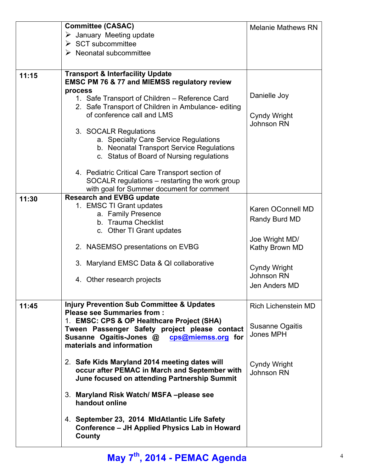|       | <b>Committee (CASAC)</b>                                                                       | <b>Melanie Mathews RN</b>  |
|-------|------------------------------------------------------------------------------------------------|----------------------------|
|       | $\triangleright$ January Meeting update                                                        |                            |
|       | $\triangleright$ SCT subcommittee                                                              |                            |
|       | $\triangleright$ Neonatal subcommittee                                                         |                            |
|       |                                                                                                |                            |
| 11:15 | <b>Transport &amp; Interfacility Update</b>                                                    |                            |
|       | <b>EMSC PM 76 &amp; 77 and MIEMSS regulatory review</b>                                        |                            |
|       | process                                                                                        | Danielle Joy               |
|       | 1. Safe Transport of Children - Reference Card                                                 |                            |
|       | 2. Safe Transport of Children in Ambulance-editing                                             |                            |
|       | of conference call and LMS                                                                     | Cyndy Wright               |
|       |                                                                                                | <b>Johnson RN</b>          |
|       | 3. SOCALR Regulations<br>a. Specialty Care Service Regulations                                 |                            |
|       | b. Neonatal Transport Service Regulations                                                      |                            |
|       | c. Status of Board of Nursing regulations                                                      |                            |
|       |                                                                                                |                            |
|       | 4. Pediatric Critical Care Transport section of                                                |                            |
|       | SOCALR regulations - restarting the work group                                                 |                            |
|       | with goal for Summer document for comment                                                      |                            |
| 11:30 | <b>Research and EVBG update</b>                                                                |                            |
|       | 1. EMSC TI Grant updates                                                                       | Karen OConnell MD          |
|       | a. Family Presence                                                                             | Randy Burd MD              |
|       | b. Trauma Checklist                                                                            |                            |
|       | c. Other TI Grant updates                                                                      |                            |
|       | 2. NASEMSO presentations on EVBG                                                               | Joe Wright MD/             |
|       |                                                                                                | Kathy Brown MD             |
|       | 3. Maryland EMSC Data & QI collaborative                                                       |                            |
|       |                                                                                                | <b>Cyndy Wright</b>        |
|       | 4. Other research projects                                                                     | <b>Johnson RN</b>          |
|       |                                                                                                | Jen Anders MD              |
|       |                                                                                                |                            |
| 11:45 | <b>Injury Prevention Sub Committee &amp; Updates</b><br><b>Please see Summaries from:</b>      | <b>Rich Lichenstein MD</b> |
|       | 1. EMSC: CPS & OP Healthcare Project (SHA)                                                     |                            |
|       | Tween Passenger Safety project please contact                                                  | Susanne Ogaitis            |
|       | Susanne Ogaitis-Jones @ cps@miemss.org for                                                     | Jones MPH                  |
|       | materials and information                                                                      |                            |
|       |                                                                                                |                            |
|       | 2. Safe Kids Maryland 2014 meeting dates will<br>occur after PEMAC in March and September with | Cyndy Wright               |
|       | June focused on attending Partnership Summit                                                   | Johnson RN                 |
|       |                                                                                                |                            |
|       | 3. Maryland Risk Watch/ MSFA-please see                                                        |                            |
|       | handout online                                                                                 |                            |
|       |                                                                                                |                            |
|       | 4. September 23, 2014 MidAtlantic Life Safety                                                  |                            |
|       | Conference - JH Applied Physics Lab in Howard                                                  |                            |
|       | County                                                                                         |                            |
|       |                                                                                                |                            |